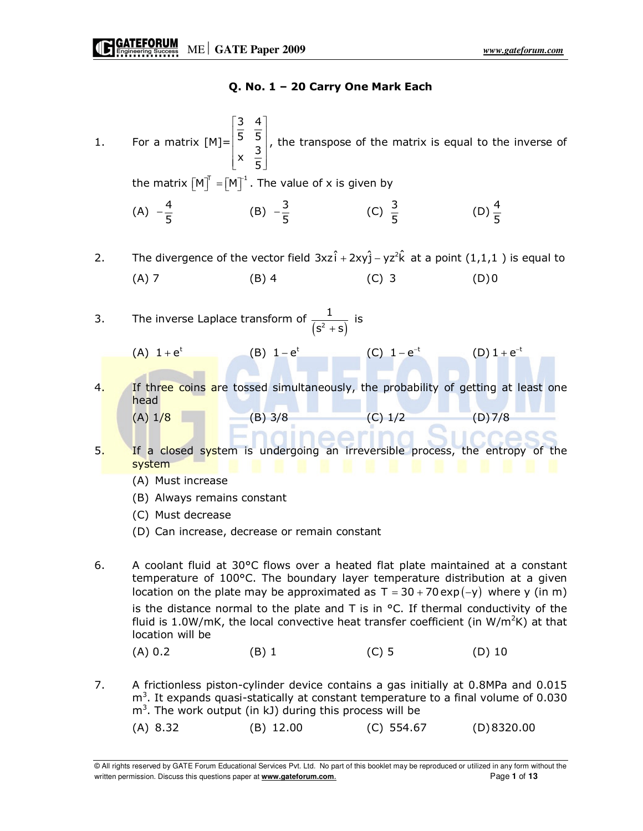### Q. No. 1 – 20 Carry One Mark Each

 $\begin{bmatrix} 3 & 4 \end{bmatrix}$ 3 4  $\vert \overline{\epsilon} \vert$   $\overline{\epsilon}$   $\vert$ 5 5  $\begin{bmatrix} 3 & 5 \end{bmatrix}$ 1. For a matrix [M]= , the transpose of the matrix is equal to the inverse of  $x \frac{3}{5}$  $\left| \begin{array}{cc} 3 \end{array} \right|$  $\begin{bmatrix} x & -1 \\ 5 & -1 \end{bmatrix}$ the matrix  $\begin{bmatrix} \mathsf{M} \end{bmatrix}^{\!\top} = \begin{bmatrix} \mathsf{M} \end{bmatrix}^{\!\top}$  . The value of x is given by (D)  $\frac{4}{5}$ (A)  $-\frac{4}{5}$  (B)  $-\frac{3}{5}$  $-\frac{3}{5}$  (C)  $\frac{3}{5}$  (D)  $\frac{4}{5}$ 2. The divergence of the vector field  $3xz\hat{i} + 2xy\hat{j} - yz^2\hat{k}$  at a point  $(1,1,1)$  is equal to (A) 7 (B) 4 (C) 3 (D) 0 3. The inverse Laplace transform of  $\frac{1}{(s^2 + s)}$  is  $s^2 + s$ ) (A)  $1 + e^{t}$  (B)  $1 - e^{t}$  (C)  $1 - e^{-t}$  $- e^{-t}$  (D)  $1 + e^{-t}$ 4. If three coins are tossed simultaneously, the probability of getting at least one head head<br>(A) 1/<mark>8 (B) 3/8 (C) 1/2 (D) 7/8</mark> 1eerir 5. If a closed system is undergoing an irreversible process, the entropy of the system (A) Must increase (B) Always remains constant (C) Must decrease (D) Can increase, decrease or remain constant 6. A coolant fluid at 30°C flows over a heated flat plate maintained at a constant temperature of 100°C. The boundary layer temperature distribution at a given location on the plate may be approximated as  $T = 30 + 70 \exp(-y)$  where y (in m) is the distance normal to the plate and T is in  $\degree$ C. If thermal conductivity of the fluid is 1.0W/mK, the local convective heat transfer coefficient (in  $W/m^2K$ ) at that location will be (A) 0.2 (B) 1 (C) 5 (D) 10 7. A frictionless piston-cylinder device contains a gas initially at 0.8MPa and 0.015  $m<sup>3</sup>$ . It expands quasi-statically at constant temperature to a final volume of 0.030  $m<sup>3</sup>$ . The work output (in kJ) during this process will be (A) 8.32 (B) 12.00 (C) 554.67 (D) 8320.00

© All rights reserved by GATE Forum Educational Services Pvt. Ltd. No part of this booklet may be reproduced or utilized in any form without the written permission. Discuss this questions paper at **www.gateforum.com.** Page 1 of **13**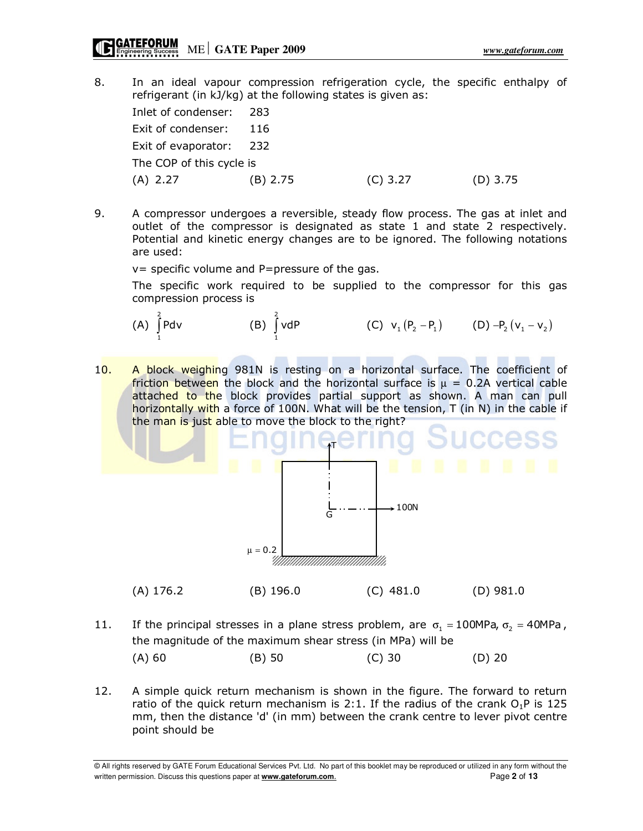8. In an ideal vapour compression refrigeration cycle, the specific enthalpy of refrigerant (in kJ/kg) at the following states is given as:

| Inlet of condenser: 283  |          |            |            |
|--------------------------|----------|------------|------------|
| Exit of condenser:       | -116     |            |            |
| Exit of evaporator: 232  |          |            |            |
| The COP of this cycle is |          |            |            |
| (A) 2.27                 | (B) 2.75 | $(C)$ 3.27 | $(D)$ 3.75 |

9. A compressor undergoes a reversible, steady flow process. The gas at inlet and outlet of the compressor is designated as state 1 and state 2 respectively. Potential and kinetic energy changes are to be ignored. The following notations are used:

v= specific volume and P=pressure of the gas.

 The specific work required to be supplied to the compressor for this gas compression process is

(A) 
$$
\int_{1}^{2} P dv
$$
 (B)  $\int_{1}^{2} v dP$  (C)  $v_1 (P_2 - P_1)$  (D)  $-P_2 (v_1 - v_2)$ 

10. A block weighing 981N is resting on a horizontal surface. The coefficient of friction between the block and the horizontal surface is  $\mu = 0.2$ A vertical cable attached to the block provides partial support as shown. A man can pull horizontally with a force of 100N. What will be the tension, T (in N) in the cable if the man is just able to move the block to the right?



- 11. If the principal stresses in a plane stress problem, are  $\sigma_1 = 100MPa$ ,  $\sigma_2 = 40MPa$ , the magnitude of the maximum shear stress (in MPa) will be (A) 60 (B) 50 (C) 30 (D) 20
- 12. A simple quick return mechanism is shown in the figure. The forward to return ratio of the quick return mechanism is 2:1. If the radius of the crank  $O_1P$  is 125 mm, then the distance 'd' (in mm) between the crank centre to lever pivot centre point should be

© All rights reserved by GATE Forum Educational Services Pvt. Ltd. No part of this booklet may be reproduced or utilized in any form without the written permission. Discuss this questions paper at **www.gateforum.com.** Page 2 of **13**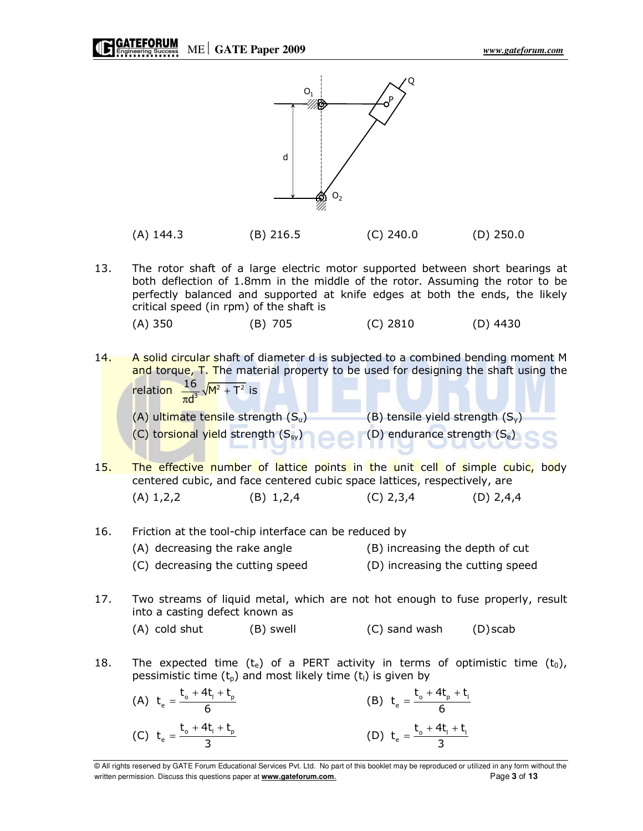91



| $(A)$ 144.3 | $(B)$ 216.5 | $(C)$ 240.0 | $(D)$ 250.0 |
|-------------|-------------|-------------|-------------|
|             |             |             |             |

13. The rotor shaft of a large electric motor supported between short bearings at both deflection of 1.8mm in the middle of the rotor. Assuming the rotor to be perfectly balanced and supported at knife edges at both the ends, the likely critical speed (in rpm) of the shaft is

(A) 350 (B) 705 (C) 2810 (D) 4430

14. A solid circular shaft of diameter d is subjected to a combined bending moment M and torque, T. The material property to be used for designing the shaft using the relation  $\frac{16}{\pi d^3} \sqrt{M^2 + T^2}$  is AND THE REAL

(A) ultimate tensile strength 
$$
(S_u)
$$

\n(B) tensile yield strength  $(S_v)$ 

\n(C) torsional yield strength  $(S_{sv})$ 

\n(D) endurance strength  $(S_e)$ 

- 15. The effective number of lattice points in the unit cell of simple cubic, body centered cubic, and face centered cubic space lattices, respectively, are (A)  $1,2,2$  (B)  $1,2,4$  (C)  $2,3,4$  (D)  $2,4,4$
- 16. Friction at the tool-chip interface can be reduced by (A) decreasing the rake angle (B) increasing the depth of cut (C) decreasing the cutting speed (D) increasing the cutting speed
- 17. Two streams of liquid metal, which are not hot enough to fuse properly, result into a casting defect known as
	- (A) cold shut (B) swell (C) sand wash (D) scab
- 18. The expected time (t<sub>e</sub>) of a PERT activity in terms of optimistic time (t<sub>0</sub>), pessimistic time  $(t<sub>p</sub>)$  and most likely time  $(t<sub>l</sub>)$  is given by

(A) 
$$
t_e = \frac{t_o + 4t_l + t_p}{6}
$$
  
\n(B)  $t_e = \frac{t_o + 4t_p + t_l}{6}$   
\n(C)  $t_e = \frac{t_o + 4t_l + t_p}{3}$   
\n(D)  $t_e = \frac{t_o + 4t_l + t_l}{3}$ 

<sup>©</sup> All rights reserved by GATE Forum Educational Services Pvt. Ltd. No part of this booklet may be reproduced or utilized in any form without the written permission. Discuss this questions paper at **www.gateforum.com.** Page 3 of **13**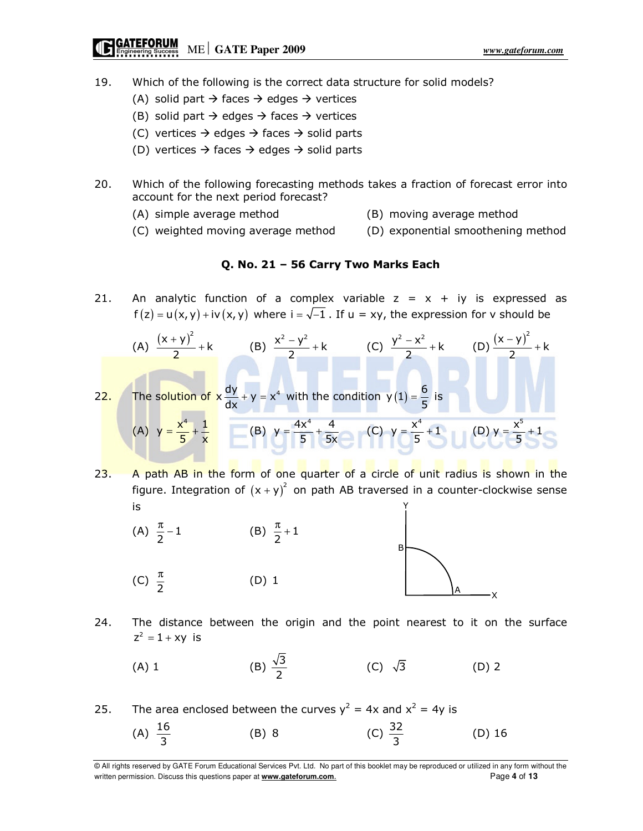- 19. Which of the following is the correct data structure for solid models?
	- (A) solid part  $\rightarrow$  faces  $\rightarrow$  edges  $\rightarrow$  vertices
	- (B) solid part  $\rightarrow$  edges  $\rightarrow$  faces  $\rightarrow$  vertices
	- (C) vertices  $\rightarrow$  edges  $\rightarrow$  faces  $\rightarrow$  solid parts
	- (D) vertices  $\rightarrow$  faces  $\rightarrow$  edges  $\rightarrow$  solid parts
- 20. Which of the following forecasting methods takes a fraction of forecast error into account for the next period forecast?
	- (A) simple average method (B) moving average method
	- (C) weighted moving average method (D) exponential smoothening method

### Q. No. 21 – 56 Carry Two Marks Each

21. An analytic function of a complex variable  $z = x + iy$  is expressed as  $f(z) = u(x, y) + iv(x, y)$  where  $i = \sqrt{-1}$ . If  $u = xy$ , the expression for v should be

(A) 
$$
\frac{(x+y)^2}{2} + k
$$
 (B)  $\frac{x^2 - y^2}{2} + k$  (C)  $\frac{y^2 - x^2}{2} + k$  (D)  $\frac{(x-y)^2}{2} + k$   
22. The solution of  $x \frac{dy}{dx} + y = x^4$  with the condition  $y(1) = \frac{6}{5}$  is  
(A)  $y = \frac{x^4}{5} + \frac{1}{x}$  (B)  $y = \frac{4x^4}{5} + \frac{4}{5x}$  (C)  $y = \frac{x^4}{5} + 1$  (D)  $y = \frac{x^5}{5} + 1$ 

23. A path AB in the form of one quarter of a circle of unit radius is shown in the figure. Integration of  $(x + y)^2$  on path AB traversed in a counter-clockwise sense is Y



- 24. The distance between the origin and the point nearest to it on the surface  $z^2 = 1 + xy$  is
- (A) 1 (B)  $\frac{\sqrt{3}}{2}$ (C)  $\sqrt{3}$  (D) 2

25. The area enclosed between the curves  $y^2 = 4x$  and  $x^2 = 4y$  is (A)  $\frac{16}{3}$ (B) 8 (C)  $\frac{32}{3}$ (D) 16

<sup>©</sup> All rights reserved by GATE Forum Educational Services Pvt. Ltd. No part of this booklet may be reproduced or utilized in any form without the written permission. Discuss this questions paper at **www.gateforum.com.** Page 4 of 13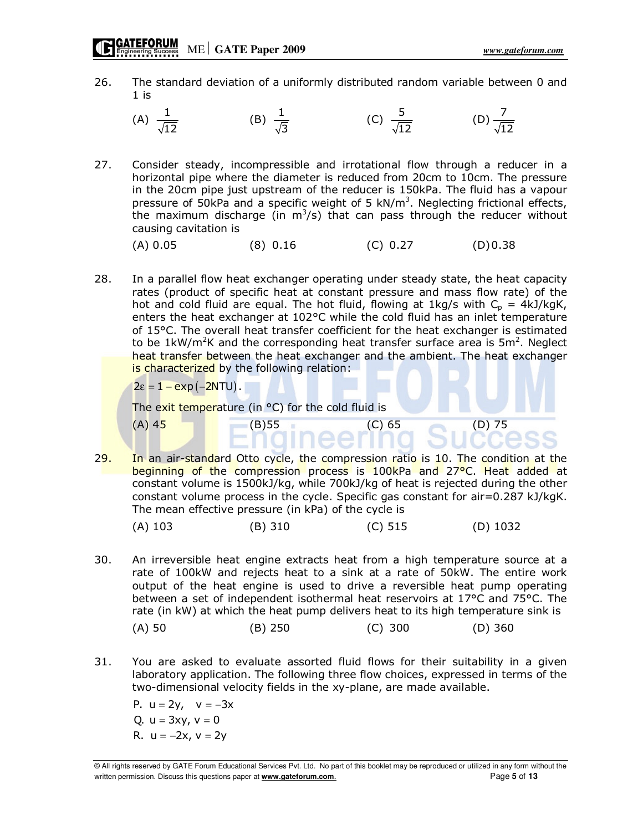- 26. The standard deviation of a uniformly distributed random variable between 0 and  $1$  is
- (A)  $\frac{1}{\sqrt{2}}$  $12$ (B)  $\frac{1}{\sqrt{2}}$ 3 (C)  $\frac{5}{6}$ 12 (D)  $\frac{7}{5}$ 12
- 27. Consider steady, incompressible and irrotational flow through a reducer in a horizontal pipe where the diameter is reduced from 20cm to 10cm. The pressure in the 20cm pipe just upstream of the reducer is 150kPa. The fluid has a vapour pressure of 50kPa and a specific weight of 5  $kN/m<sup>3</sup>$ . Neglecting frictional effects, the maximum discharge (in  $m^3/s$ ) that can pass through the reducer without causing cavitation is

 $(A) 0.05$  (8) 0.16 (C) 0.27 (D) 0.38

28. In a parallel flow heat exchanger operating under steady state, the heat capacity rates (product of specific heat at constant pressure and mass flow rate) of the hot and cold fluid are equal. The hot fluid, flowing at 1kg/s with  $C_p = 4kJ/kgK$ , enters the heat exchanger at 102°C while the cold fluid has an inlet temperature of 15°C. The overall heat transfer coefficient for the heat exchanger is estimated to be 1kW/m<sup>2</sup>K and the corresponding heat transfer surface area is  $5m^2$ . Neglect heat transfer between the heat exchanger and the ambient. The heat exchanger is characterized by the following relation:

 $2\varepsilon = 1 - \exp(-2NTU)$ .

The exit temperature (in °C) for the cold fluid is

29. In an air-standard Otto cycle, the compression ratio is 10. The condition at the beginning of the compression process is 100kPa and 27°C. Heat added at constant volume is 1500kJ/kg, while 700kJ/kg of heat is rejected during the other constant volume process in the cycle. Specific gas constant for air=0.287 kJ/kgK. The mean effective pressure (in kPa) of the cycle is

 $(A) 45$  (B) 55 (C) 65 (D) 75

| $(A)$ 103 | (B) 310 | $(C)$ 515 | $(D)$ 1032 |
|-----------|---------|-----------|------------|
|-----------|---------|-----------|------------|

30. An irreversible heat engine extracts heat from a high temperature source at a rate of 100kW and rejects heat to a sink at a rate of 50kW. The entire work output of the heat engine is used to drive a reversible heat pump operating between a set of independent isothermal heat reservoirs at 17°C and 75°C. The rate (in kW) at which the heat pump delivers heat to its high temperature sink is

$$
(A) 50 \t\t (B) 250 \t\t (C) 300 \t\t (D) 360
$$

31. You are asked to evaluate assorted fluid flows for their suitability in a given laboratory application. The following three flow choices, expressed in terms of the two-dimensional velocity fields in the xy-plane, are made available.

P.  $u = 2y$ ,  $v = -3x$ Q.  $u = 3xy$ ,  $v = 0$ R.  $u = -2x$ ,  $v = 2y$ 

<sup>©</sup> All rights reserved by GATE Forum Educational Services Pvt. Ltd. No part of this booklet may be reproduced or utilized in any form without the written permission. Discuss this questions paper at **www.gateforum.com.** Page 5 of **13**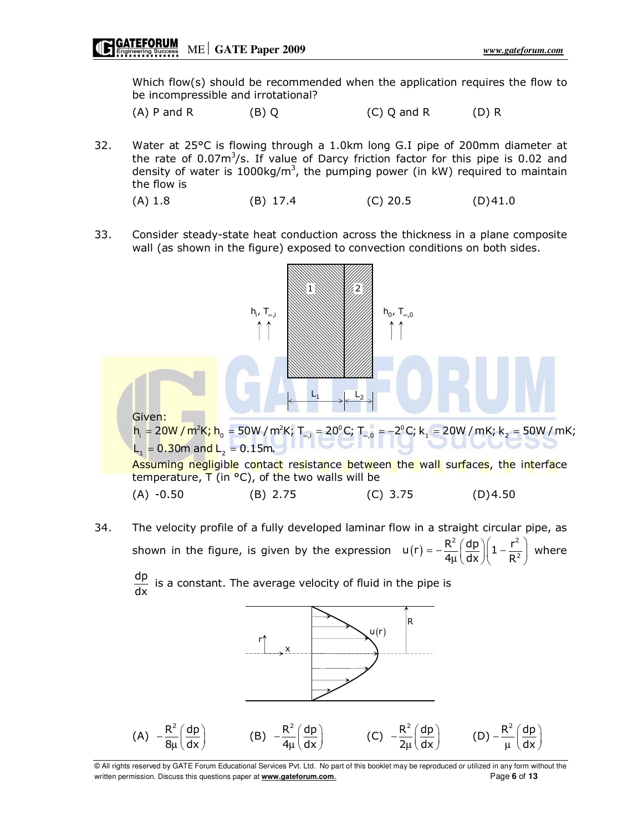Which flow(s) should be recommended when the application requires the flow to be incompressible and irrotational?

 $(A)$  P and R (B) Q (C) Q and R (D) R

- 32. Water at 25°C is flowing through a 1.0km long G.I pipe of 200mm diameter at the rate of  $0.07m^3/s$ . If value of Darcy friction factor for this pipe is 0.02 and density of water is 1000kg/m<sup>3</sup>, the pumping power (in kW) required to maintain the flow is
	- (A) 1.8 (B) 17.4 (C) 20.5 (D) 41.0
- 33. Consider steady-state heat conduction across the thickness in a plane composite wall (as shown in the figure) exposed to convection conditions on both sides.



34. The velocity profile of a fully developed laminar flow in a straight circular pipe, as shown in the figure, is given by the expression  $u(r) = -\frac{R^2}{4} \left( \frac{dp}{dr} \right) \left( 1 - \frac{r^2}{R^2} \right)$  $u(r) = -\frac{R^2}{4\mu} \left( \frac{dp}{dx} \right) \left( 1 - \frac{r^2}{R^2} \right)$ 4 dx R  $=-\frac{R^2}{4\mu}\left(\frac{dp}{dx}\right)\left(1-\frac{r^2}{R^2}\right)$  where

dp  $\frac{dP}{dx}$  is a constant. The average velocity of fluid in the pipe is



© All rights reserved by GATE Forum Educational Services Pvt. Ltd. No part of this booklet may be reproduced or utilized in any form without the written permission. Discuss this questions paper at **www.gateforum.com.** Page 6 of 13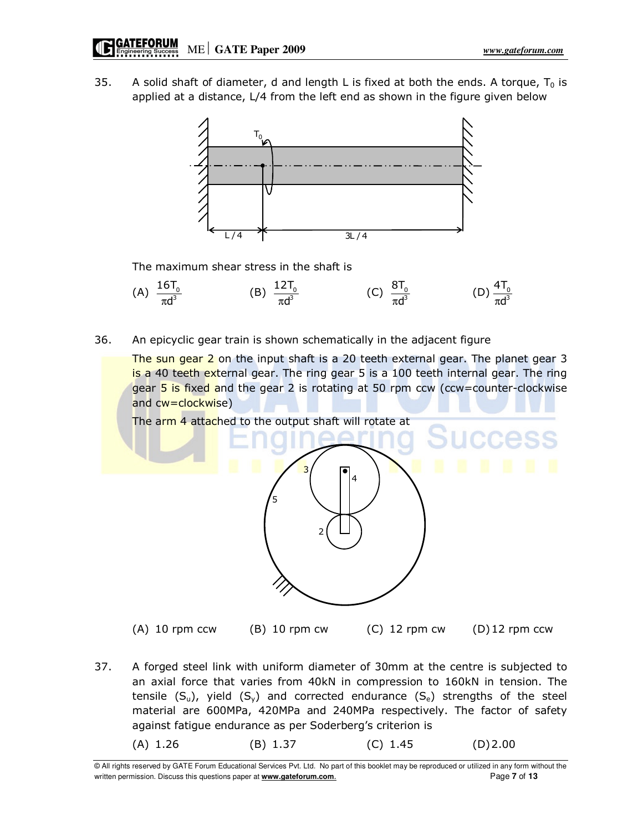35. A solid shaft of diameter, d and length L is fixed at both the ends. A torque,  $T_0$  is applied at a distance, L/4 from the left end as shown in the figure given below



The maximum shear stress in the shaft is



36. An epicyclic gear train is shown schematically in the adjacent figure

The sun gear 2 on the input shaft is a 20 teeth external gear. The planet gear 3 is a 40 teeth external gear. The ring gear 5 is a 100 teeth internal gear. The ring gear  $5$  is fixed and the gear 2 is rotating at 50 rpm ccw (ccw=counter-clockwise and cw=clockwise)

The arm 4 attached to the output shaft will rotate at



(A) 10 rpm ccw  $(B)$  10 rpm cw  $(C)$  12 rpm cw  $(D)$  12 rpm ccw

37. A forged steel link with uniform diameter of 30mm at the centre is subjected to an axial force that varies from 40kN in compression to 160kN in tension. The tensile  $(S_u)$ , yield  $(S_v)$  and corrected endurance  $(S_e)$  strengths of the steel material are 600MPa, 420MPa and 240MPa respectively. The factor of safety against fatigue endurance as per Soderberg's criterion is

(A) 1.26 (B) 1.37 (C) 1.45 (D) 2.00

© All rights reserved by GATE Forum Educational Services Pvt. Ltd. No part of this booklet may be reproduced or utilized in any form without the written permission. Discuss this questions paper at **www.gateforum.com.** Page **7** of **13**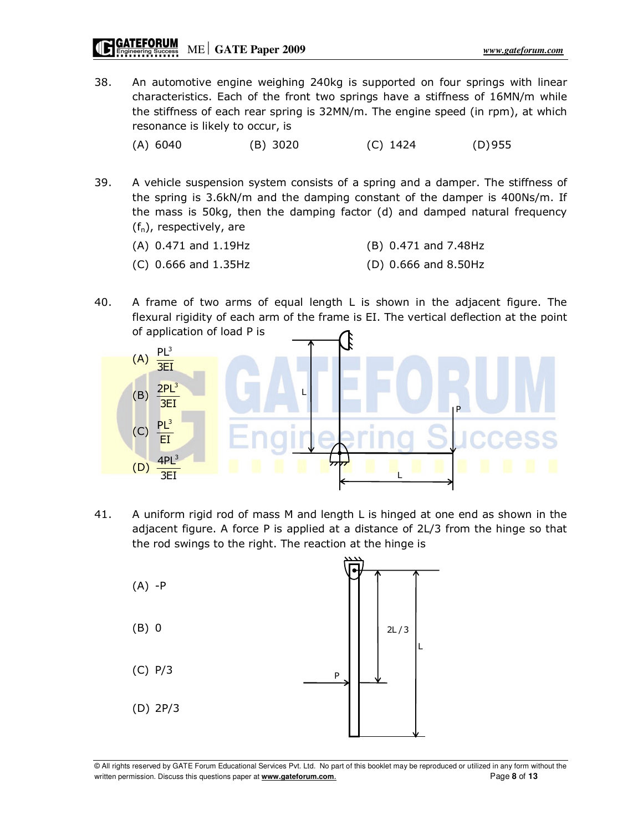38. An automotive engine weighing 240kg is supported on four springs with linear characteristics. Each of the front two springs have a stiffness of 16MN/m while the stiffness of each rear spring is 32MN/m. The engine speed (in rpm), at which resonance is likely to occur, is

(A) 6040 (B) 3020 (C) 1424 (D) 955

39. A vehicle suspension system consists of a spring and a damper. The stiffness of the spring is 3.6kN/m and the damping constant of the damper is 400Ns/m. If the mass is 50kg, then the damping factor (d) and damped natural frequency  $(f_n)$ , respectively, are

| $(A)$ 0.471 and 1.19Hz | (B) 0.471 and 7.48Hz   |
|------------------------|------------------------|
| $(C)$ 0.666 and 1.35Hz | $(D)$ 0.666 and 8.50Hz |

40. A frame of two arms of equal length L is shown in the adjacent figure. The flexural rigidity of each arm of the frame is EI. The vertical deflection at the point of application of load P is



41. A uniform rigid rod of mass M and length L is hinged at one end as shown in the adjacent figure. A force P is applied at a distance of 2L/3 from the hinge so that the rod swings to the right. The reaction at the hinge is

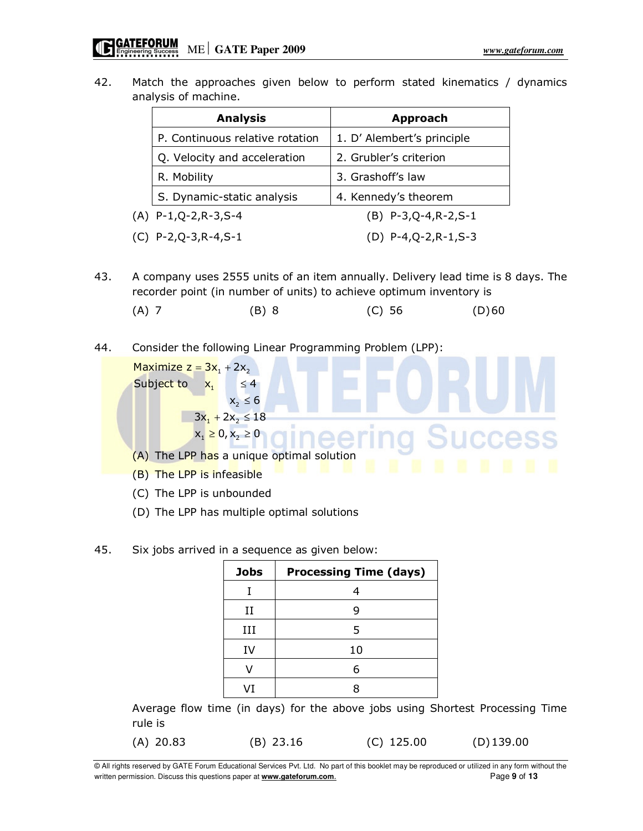42. Match the approaches given below to perform stated kinematics / dynamics analysis of machine.

| <b>Analysis</b>                 | <b>Approach</b>            |
|---------------------------------|----------------------------|
| P. Continuous relative rotation | 1. D' Alembert's principle |
| Q. Velocity and acceleration    | 2. Grubler's criterion     |
| R. Mobility                     | 3. Grashoff's law          |
| S. Dynamic-static analysis      | 4. Kennedy's theorem       |
| $(A)$ P-1,Q-2,R-3,S-4           | $(B)$ P-3, Q-4, R-2, S-1   |
| $(C)$ P-2, Q-3, R-4, S-1        | (D) P-4,Q-2,R-1,S-3        |

43. A company uses 2555 units of an item annually. Delivery lead time is 8 days. The recorder point (in number of units) to achieve optimum inventory is

(A) 7 (B) 8 (C) 56 (D) 60

44. Consider the following Linear Programming Problem (LPP):

Maximize  $z = 3x_1 + 2x_2$ Subject to  $x_1 \leq 4$  $x_2 \leq 6$  $3x_1 + 2x_2 \le 18$  $x_1 \ge 0, x_2 \ge 0$ ≤

- (A) The LPP has a unique optimal solution
- (B) The LPP is infeasible
- (C) The LPP is unbounded
- (D) The LPP has multiple optimal solutions
- 45. Six jobs arrived in a sequence as given below:

| <b>Jobs</b> | <b>Processing Time (days)</b> |
|-------------|-------------------------------|
|             | 4                             |
| Н           | 9                             |
| Ш           | 5                             |
| IV          | 10                            |
|             | 6                             |
| VT          | 8                             |

Average flow time (in days) for the above jobs using Shortest Processing Time rule is

(A) 20.83 (B) 23.16 (C) 125.00 (D) 139.00

© All rights reserved by GATE Forum Educational Services Pvt. Ltd. No part of this booklet may be reproduced or utilized in any form without the written permission. Discuss this questions paper at **www.gateforum.com.** Page 9 of 13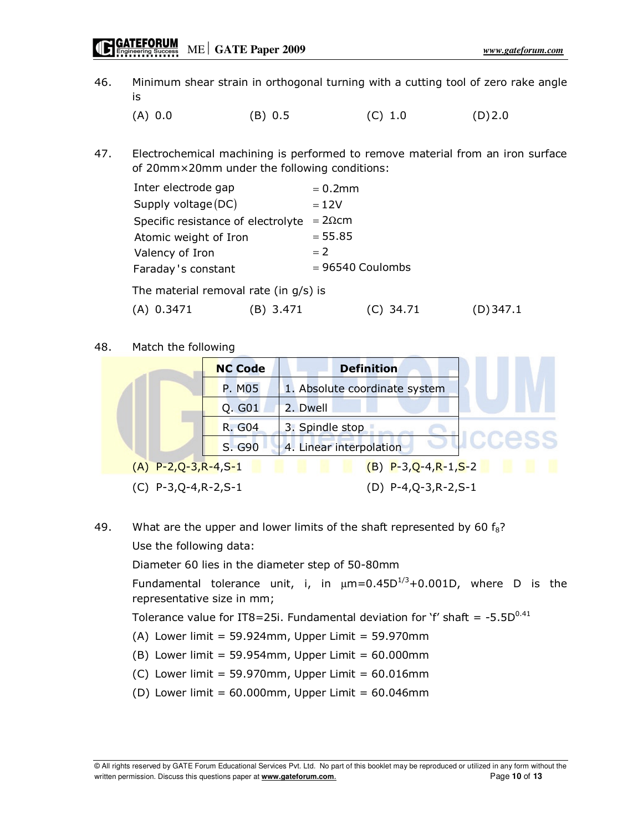46. Minimum shear strain in orthogonal turning with a cutting tool of zero rake angle is

(A) 0.0 (B) 0.5 (C) 1.0 (D) 2.0

47. Electrochemical machining is performed to remove material from an iron surface of 20mm×20mm under the following conditions:

| Inter electrode gap                      |             | $= 0.2$ mm         |           |         |
|------------------------------------------|-------------|--------------------|-----------|---------|
| Supply voltage (DC)                      |             | $=12V$             |           |         |
| Specific resistance of electrolyte       |             | $=2\Omega$ cm      |           |         |
| Atomic weight of Iron                    |             | $= 55.85$          |           |         |
| Valency of Iron                          |             | $= 2$              |           |         |
| Faraday's constant                       |             | $= 96540$ Coulombs |           |         |
| The material removal rate (in $g/s$ ) is |             |                    |           |         |
| (A) 0.3471                               | 3.471<br>B) |                    | (C) 34.71 | 347.1 ( |

### 48. Match the following



49. What are the upper and lower limits of the shaft represented by 60  $f_8$ ? Use the following data:

Diameter 60 lies in the diameter step of 50-80mm

Fundamental tolerance unit, i, in  $\mu$ m=0.45D<sup>1/3</sup>+0.001D, where D is the representative size in mm;

Tolerance value for IT8=25i. Fundamental deviation for 'f' shaft =  $-5.5D^{0.41}$ 

- $(A)$  Lower limit = 59.924mm, Upper Limit = 59.970mm
- $(B)$  Lower limit = 59.954mm, Upper Limit = 60.000mm
- (C) Lower limit =  $59.970$ mm, Upper Limit =  $60.016$ mm
- (D) Lower limit =  $60.000$ mm, Upper Limit =  $60.046$ mm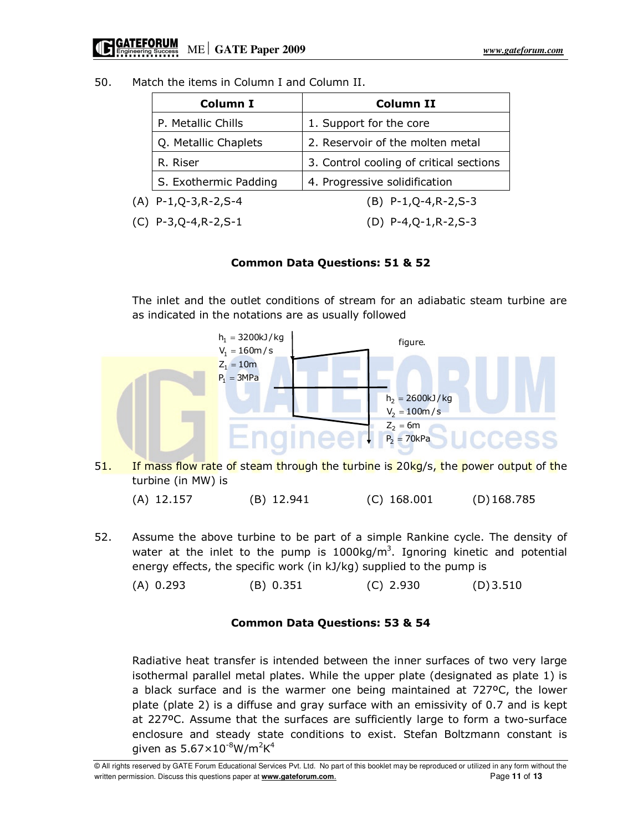| 50.<br>Match the items in Column I and Column II. |  |
|---------------------------------------------------|--|
|---------------------------------------------------|--|

| <b>Column I</b>          | Column II                               |
|--------------------------|-----------------------------------------|
| P. Metallic Chills       | 1. Support for the core                 |
| Q. Metallic Chaplets     | 2. Reservoir of the molten metal        |
| R. Riser                 | 3. Control cooling of critical sections |
| S. Exothermic Padding    | 4. Progressive solidification           |
| $(A)$ P-1, Q-3, R-2, S-4 | $(B)$ P-1, Q-4, R-2, S-3                |
| $(C)$ P-3,Q-4,R-2,S-1    | $(D)$ P-4, Q-1, R-2, S-3                |

## Common Data Questions: 51 & 52

The inlet and the outlet conditions of stream for an adiabatic steam turbine are as indicated in the notations are as usually followed



51. If mass flow rate of steam through the turbine is 20kg/s, the power output of the turbine (in MW) is

| $(A)$ 12.157 | $(B)$ 12.941 | $(C)$ 168.001 | $(D)$ 168.785 |
|--------------|--------------|---------------|---------------|
|--------------|--------------|---------------|---------------|

52. Assume the above turbine to be part of a simple Rankine cycle. The density of water at the inlet to the pump is  $1000 \text{kg/m}^3$ . Ignoring kinetic and potential energy effects, the specific work (in kJ/kg) supplied to the pump is

(A) 0.293 (B) 0.351 (C) 2.930 (D) 3.510

## Common Data Questions: 53 & 54

Radiative heat transfer is intended between the inner surfaces of two very large isothermal parallel metal plates. While the upper plate (designated as plate 1) is a black surface and is the warmer one being maintained at 727ºC, the lower plate (plate 2) is a diffuse and gray surface with an emissivity of 0.7 and is kept at 227ºC. Assume that the surfaces are sufficiently large to form a two-surface enclosure and steady state conditions to exist. Stefan Boltzmann constant is given as  $5.67\times10^{-8}$ W/m<sup>2</sup>K<sup>4</sup>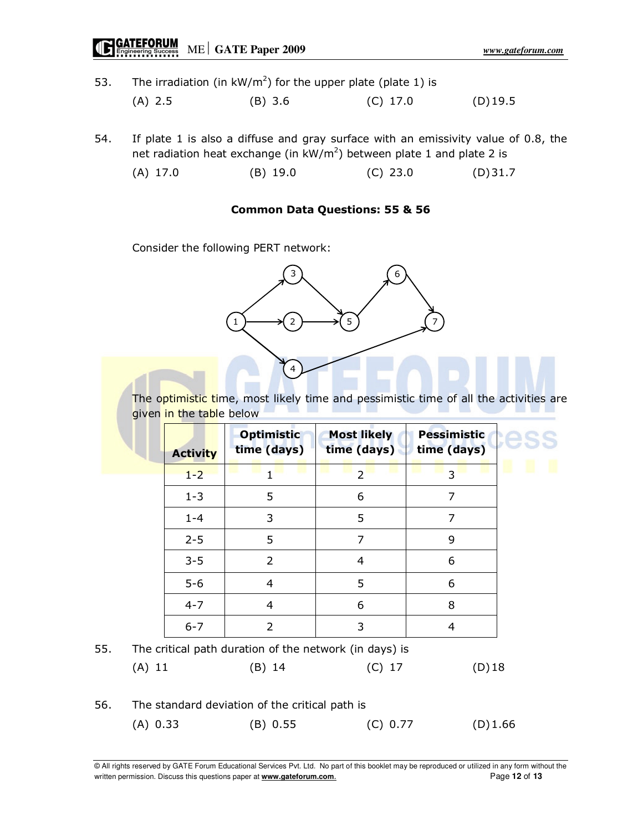# ME **GATE Paper 2009** *www.gateforum.com*

53. The irradiation (in  $kW/m^2$ ) for the upper plate (plate 1) is

| $(A)$ 2.5 | $(B)$ 3.6 | $(C)$ 17.0 | $(D)$ 19.5 |
|-----------|-----------|------------|------------|
|-----------|-----------|------------|------------|

54. If plate 1 is also a diffuse and gray surface with an emissivity value of 0.8, the net radiation heat exchange (in  $kW/m^2$ ) between plate 1 and plate 2 is

(A) 17.0 (B) 19.0 (C) 23.0 (D) 31.7

### Common Data Questions: 55 & 56

Consider the following PERT network:



The optimistic time, most likely time and pessimistic time of all the activities are given in the table below

|     | <b>Activity</b> | <b>Optimistic</b><br>time (days) | <b>Most likely</b><br>time (days)                      | <b>Pessimistic</b><br>time (days) |
|-----|-----------------|----------------------------------|--------------------------------------------------------|-----------------------------------|
|     | $1 - 2$         |                                  | $\overline{2}$                                         | 3                                 |
|     | $1 - 3$         | 5                                | 6                                                      | 7                                 |
|     | $1 - 4$         | 3                                | 5                                                      | 7                                 |
|     | $2 - 5$         | 5                                | 7                                                      | 9                                 |
|     | $3 - 5$         | 2                                | 4                                                      | 6                                 |
|     | $5-6$           | $\overline{4}$                   | 5                                                      | 6                                 |
|     | $4 - 7$         | 4                                | 6                                                      | 8                                 |
|     | $6 - 7$         | 2                                | 3                                                      | 4                                 |
| 55. |                 |                                  | The critical path duration of the network (in days) is |                                   |

|     | $(A)$ 11                                       | $(B)$ 14 | $(C)$ 17 | $(D)$ 18 |
|-----|------------------------------------------------|----------|----------|----------|
| 56. | The standard deviation of the critical path is |          |          |          |

(A) 0.33 (B) 0.55 (C) 0.77 (D) 1.66

© All rights reserved by GATE Forum Educational Services Pvt. Ltd. No part of this booklet may be reproduced or utilized in any form without the written permission. Discuss this questions paper at **www.gateforum.com.** example and the example of 13 of 13